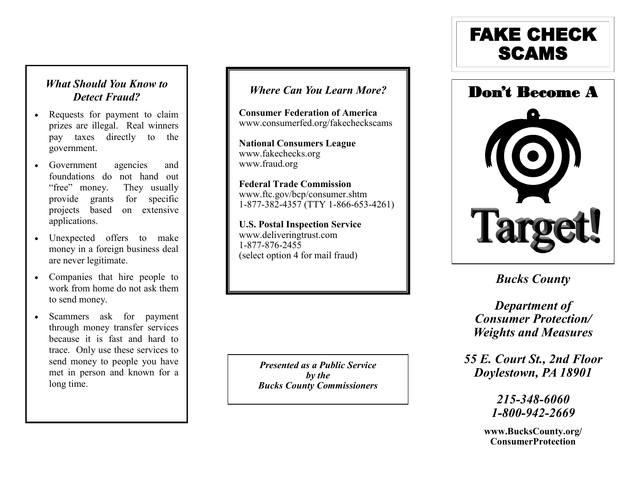## *What Should You Know to Detect Fraud?*

- Requests for payment to claim prizes are illegal. Real winners pay taxes directly to the government.
- Government agencies and foundations do not hand out "free" money. They usually provide grants for specific projects based on extensive applications.
- Unexpected offers to make money in a foreign business deal are never legitimate.
- Companies that hire people to work from home do not ask them to send money.
- Scammers ask for payment through money transfer services because it is fast and hard to trace. Only use these services to send money to people you have met in person and known for a long time.

## *Where Can You Learn More?*

**Consumer Federation of America** www.consumerfed.org/fakecheckscams

**National Consumers League** www.fakechecks.org www.fraud.org

**Federal Trade Commission** www.ftc.gov/bcp/consumer.shtm 1-877-382-4357 (TTY 1-866-653 -4261)

**U.S. Postal Inspection Service** www.deliveringtrust.com 1-877-876-2455 (select option 4 for mail fraud)

> *Presented as a Public Service by the Bucks County Commissioners*

# FAKE CHECK **SCAMS**



*Bucks County*

*Department of Consumer Protection/ Weights and Measures*

*55 E. Court St., 2nd Floor Doylestown, PA 18901*

> *215-348 -6060 1 -800 -942 -2669*

**www.BucksCounty.org/ ConsumerProtection**